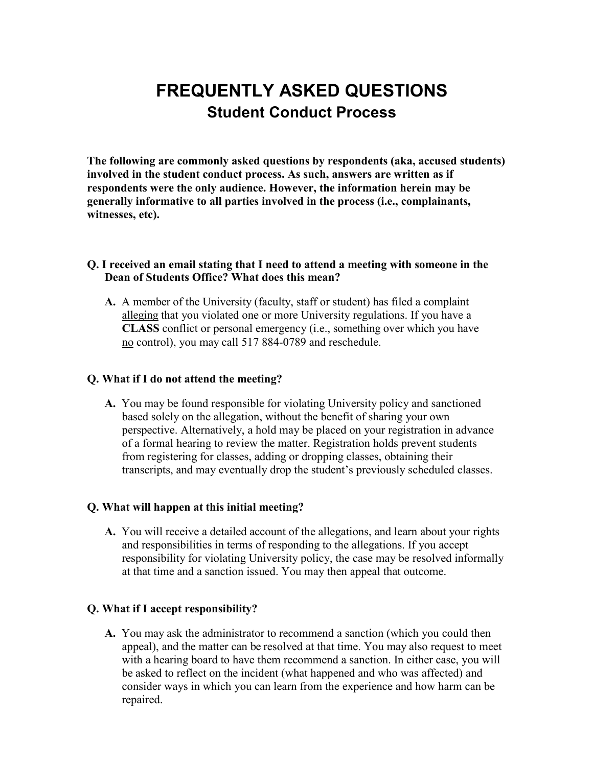# **FREQUENTLY ASKED QUESTIONS Student Conduct Process**

**The following are commonly asked questions by respondents (aka, accused students) involved in the student conduct process. As such, answers are written as if respondents were the only audience. However, the information herein may be generally informative to all parties involved in the process (i.e., complainants, witnesses, etc).**

## **Q. I received an email stating that I need to attend a meeting with someone in the Dean of Students Office? What does this mean?**

**A.** A member of the University (faculty, staff or student) has filed a complaint alleging that you violated one or more University regulations. If you have a **CLASS** conflict or personal emergency (i.e., something over which you have no control), you may call 517 884-0789 and reschedule.

#### **Q. What if I do not attend the meeting?**

**A.** You may be found responsible for violating University policy and sanctioned based solely on the allegation, without the benefit of sharing your own perspective. Alternatively, a hold may be placed on your registration in advance of a formal hearing to review the matter. Registration holds prevent students from registering for classes, adding or dropping classes, obtaining their transcripts, and may eventually drop the student's previously scheduled classes.

#### **Q. What will happen at this initial meeting?**

**A.** You will receive a detailed account of the allegations, and learn about your rights and responsibilities in terms of responding to the allegations. If you accept responsibility for violating University policy, the case may be resolved informally at that time and a sanction issued. You may then appeal that outcome.

## **Q. What if I accept responsibility?**

**A.** You may ask the administrator to recommend a sanction (which you could then appeal), and the matter can be resolved at that time. You may also request to meet with a hearing board to have them recommend a sanction. In either case, you will be asked to reflect on the incident (what happened and who was affected) and consider ways in which you can learn from the experience and how harm can be repaired.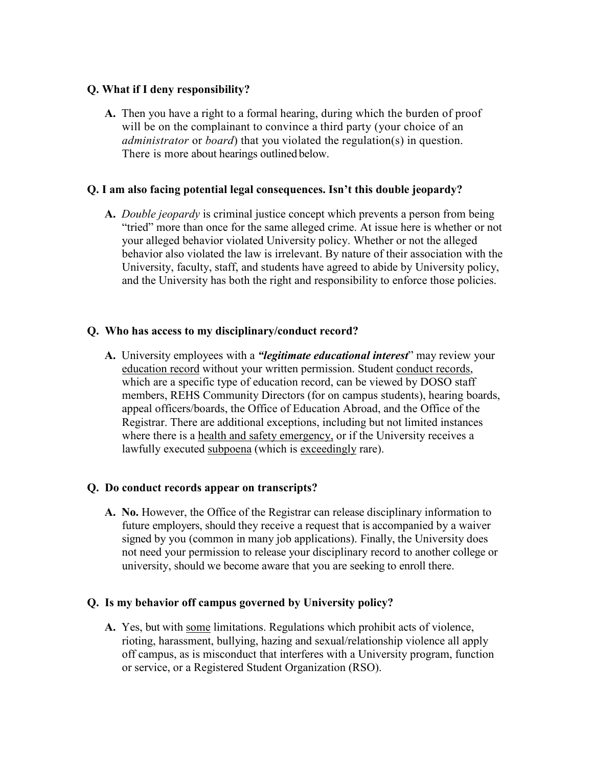# **Q. What if I deny responsibility?**

**A.** Then you have a right to a formal hearing, during which the burden of proof will be on the complainant to convince a third party (your choice of an *administrator* or *board*) that you violated the regulation(s) in question. There is more about hearings outlined below.

## **Q. I am also facing potential legal consequences. Isn't this double jeopardy?**

**A.** *Double jeopardy* is criminal justice concept which prevents a person from being "tried" more than once for the same alleged crime. At issue here is whether or not your alleged behavior violated University policy. Whether or not the alleged behavior also violated the law is irrelevant. By nature of their association with the University, faculty, staff, and students have agreed to abide by University policy, and the University has both the right and responsibility to enforce those policies.

# **Q. Who has access to my disciplinary/conduct record?**

**A.** University employees with a *"legitimate educational interest*" may review your education record without your written permission. Student conduct records, which are a specific type of education record, can be viewed by DOSO staff members, REHS Community Directors (for on campus students), hearing boards, appeal officers/boards, the Office of Education Abroad, and the Office of the Registrar. There are additional exceptions, including but not limited instances where there is a health and safety emergency, or if the University receives a lawfully executed subpoena (which is exceedingly rare).

# **Q. Do conduct records appear on transcripts?**

**A. No.** However, the Office of the Registrar can release disciplinary information to future employers, should they receive a request that is accompanied by a waiver signed by you (common in many job applications). Finally, the University does not need your permission to release your disciplinary record to another college or university, should we become aware that you are seeking to enroll there.

# **Q. Is my behavior off campus governed by University policy?**

**A.** Yes, but with some limitations. Regulations which prohibit acts of violence, rioting, harassment, bullying, hazing and sexual/relationship violence all apply off campus, as is misconduct that interferes with a University program, function or service, or a Registered Student Organization (RSO).